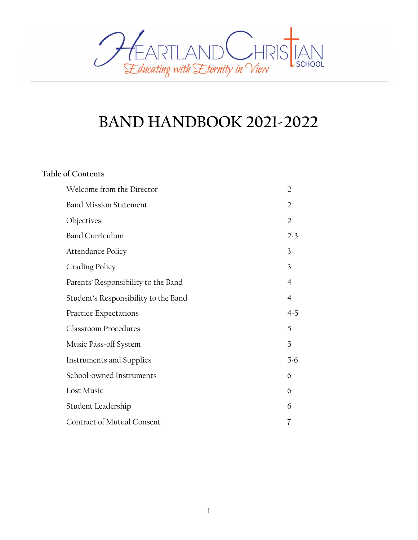

# BAND HANDBOOK 2021-2022

# Table of Contents

| Welcome from the Director            | $\overline{2}$              |
|--------------------------------------|-----------------------------|
| <b>Band Mission Statement</b>        | $\overline{2}$              |
| Objectives                           | $\mathcal{D}_{\mathcal{L}}$ |
| <b>Band Curriculum</b>               | $2 - 3$                     |
| Attendance Policy                    | 3                           |
| <b>Grading Policy</b>                | 3                           |
| Parents' Responsibility to the Band  | 4                           |
| Student's Responsibility to the Band | $\overline{4}$              |
|                                      |                             |
| Practice Expectations                | $4-5$                       |
| <b>Classroom Procedures</b>          | 5                           |
| Music Pass-off System                | 5                           |
| Instruments and Supplies             | $5-6$                       |
| School-owned Instruments             | 6                           |
| Lost Music                           | 6                           |
| Student Leadership                   | 6                           |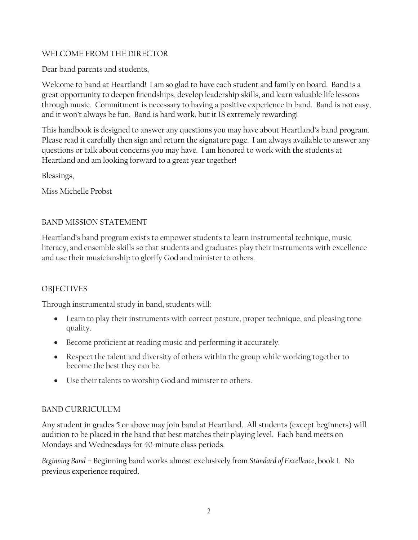#### WELCOME FROM THE DIRECTOR

Dear band parents and students,

Welcome to band at Heartland! I am so glad to have each student and family on board. Band is a great opportunity to deepen friendships, develop leadership skills, and learn valuable life lessons through music. Commitment is necessary to having a positive experience in band. Band is not easy, and it won't always be fun. Band is hard work, but it IS extremely rewarding!

This handbook is designed to answer any questions you may have about Heartland's band program. Please read it carefully then sign and return the signature page. I am always available to answer any questions or talk about concerns you may have. I am honored to work with the students at Heartland and am looking forward to a great year together!

Blessings,

Miss Michelle Probst

## BAND MISSION STATEMENT

Heartland's band program exists to empower students to learn instrumental technique, music literacy, and ensemble skills so that students and graduates play their instruments with excellence and use their musicianship to glorify God and minister to others.

# **OBJECTIVES**

Through instrumental study in band, students will:

- Learn to play their instruments with correct posture, proper technique, and pleasing tone quality.
- Become proficient at reading music and performing it accurately.
- Respect the talent and diversity of others within the group while working together to become the best they can be.
- Use their talents to worship God and minister to others.

# BAND CURRICULUM

Any student in grades 5 or above may join band at Heartland. All students (except beginners) will audition to be placed in the band that best matches their playing level. Each band meets on Mondays and Wednesdays for 40-minute class periods.

Beginning Band – Beginning band works almost exclusively from Standard of Excellence, book 1. No previous experience required.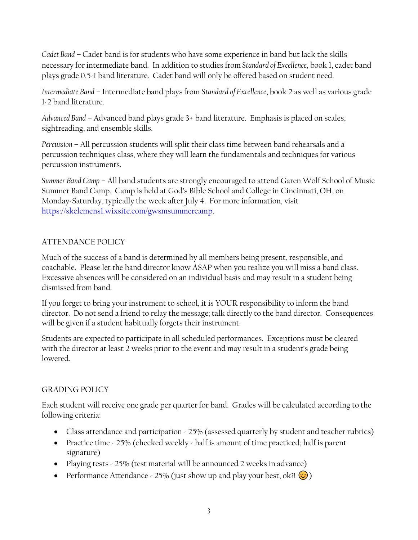Cadet Band – Cadet band is for students who have some experience in band but lack the skills necessary for intermediate band. In addition to studies from Standard of Excellence, book 1, cadet band plays grade 0.5-1 band literature. Cadet band will only be offered based on student need.

Intermediate Band – Intermediate band plays from Standard of Excellence, book 2 as well as various grade 1-2 band literature.

Advanced Band – Advanced band plays grade 3+ band literature. Emphasis is placed on scales, sightreading, and ensemble skills.

Percussion – All percussion students will split their class time between band rehearsals and a percussion techniques class, where they will learn the fundamentals and techniques for various percussion instruments.

Summer Band Camp – All band students are strongly encouraged to attend Garen Wolf School of Music Summer Band Camp. Camp is held at God's Bible School and College in Cincinnati, OH, on Monday-Saturday, typically the week after July 4. For more information, visit https://skclemens1.wixsite.com/gwsmsummercamp.

## ATTENDANCE POLICY

Much of the success of a band is determined by all members being present, responsible, and coachable. Please let the band director know ASAP when you realize you will miss a band class. Excessive absences will be considered on an individual basis and may result in a student being dismissed from band.

If you forget to bring your instrument to school, it is YOUR responsibility to inform the band director. Do not send a friend to relay the message; talk directly to the band director. Consequences will be given if a student habitually forgets their instrument.

Students are expected to participate in all scheduled performances. Exceptions must be cleared with the director at least 2 weeks prior to the event and may result in a student's grade being lowered.

## GRADING POLICY

Each student will receive one grade per quarter for band. Grades will be calculated according to the following criteria:

- Class attendance and participation 25% (assessed quarterly by student and teacher rubrics)
- Practice time 25% (checked weekly half is amount of time practiced; half is parent signature)
- Playing tests 25% (test material will be announced 2 weeks in advance)
- Performance Attendance 25% (just show up and play your best, ok?!  $\circled{c}$ )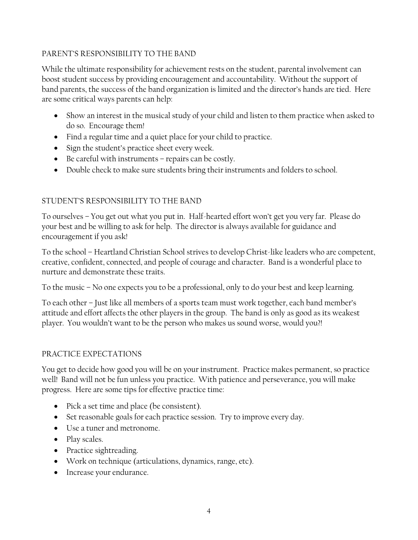#### PARENT'S RESPONSIBILITY TO THE BAND

While the ultimate responsibility for achievement rests on the student, parental involvement can boost student success by providing encouragement and accountability. Without the support of band parents, the success of the band organization is limited and the director's hands are tied. Here are some critical ways parents can help:

- Show an interest in the musical study of your child and listen to them practice when asked to do so. Encourage them!
- Find a regular time and a quiet place for your child to practice.
- Sign the student's practice sheet every week.
- Be careful with instruments repairs can be costly.
- Double check to make sure students bring their instruments and folders to school.

## STUDENT'S RESPONSIBILITY TO THE BAND

To ourselves – You get out what you put in. Half-hearted effort won't get you very far. Please do your best and be willing to ask for help. The director is always available for guidance and encouragement if you ask!

To the school – Heartland Christian School strives to develop Christ-like leaders who are competent, creative, confident, connected, and people of courage and character. Band is a wonderful place to nurture and demonstrate these traits.

To the music – No one expects you to be a professional, only to do your best and keep learning.

To each other – Just like all members of a sports team must work together, each band member's attitude and effort affects the other players in the group. The band is only as good as its weakest player. You wouldn't want to be the person who makes us sound worse, would you?!

#### PRACTICE EXPECTATIONS

You get to decide how good you will be on your instrument. Practice makes permanent, so practice well! Band will not be fun unless you practice. With patience and perseverance, you will make progress. Here are some tips for effective practice time:

- Pick a set time and place (be consistent).
- Set reasonable goals for each practice session. Try to improve every day.
- Use a tuner and metronome.
- Play scales.
- Practice sightreading.
- Work on technique (articulations, dynamics, range, etc).
- Increase your endurance.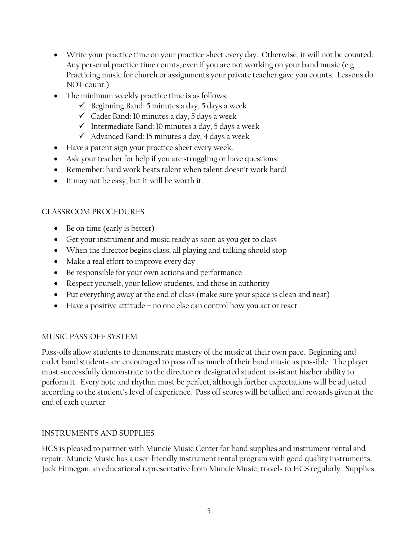- Write your practice time on your practice sheet every day. Otherwise, it will not be counted. Any personal practice time counts, even if you are not working on your band music (e.g. Practicing music for church or assignments your private teacher gave you counts. Lessons do NOT count.).
- The minimum weekly practice time is as follows:
	- Beginning Band: 5 minutes a day, 5 days a week
	- $\checkmark$  Cadet Band: 10 minutes a day, 5 days a week
	- $\checkmark$  Intermediate Band: 10 minutes a day, 5 days a week
	- $\checkmark$  Advanced Band: 15 minutes a day, 4 days a week
- Have a parent sign your practice sheet every week.
- Ask your teacher for help if you are struggling or have questions.
- Remember: hard work beats talent when talent doesn't work hard!
- It may not be easy, but it will be worth it.

## CLASSROOM PROCEDURES

- Be on time (early is better)
- Get your instrument and music ready as soon as you get to class
- When the director begins class, all playing and talking should stop
- Make a real effort to improve every day
- Be responsible for your own actions and performance
- Respect yourself, your fellow students, and those in authority
- Put everything away at the end of class (make sure your space is clean and neat)
- Have a positive attitude no one else can control how you act or react

## MUSIC PASS-OFF SYSTEM

Pass-offs allow students to demonstrate mastery of the music at their own pace. Beginning and cadet band students are encouraged to pass off as much of their band music as possible. The player must successfully demonstrate to the director or designated student assistant his/her ability to perform it. Every note and rhythm must be perfect, although further expectations will be adjusted according to the student's level of experience. Pass off scores will be tallied and rewards given at the end of each quarter.

## INSTRUMENTS AND SUPPLIES

HCS is pleased to partner with Muncie Music Center for band supplies and instrument rental and repair. Muncie Music has a user-friendly instrument rental program with good quality instruments. Jack Finnegan, an educational representative from Muncie Music, travels to HCS regularly. Supplies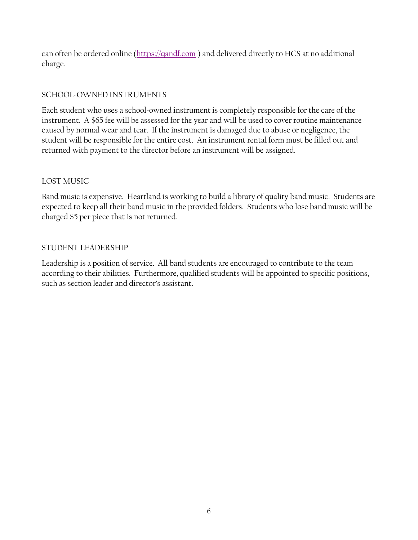can often be ordered online (https://qandf.com ) and delivered directly to HCS at no additional charge.

## SCHOOL-OWNED INSTRUMENTS

Each student who uses a school-owned instrument is completely responsible for the care of the instrument. A \$65 fee will be assessed for the year and will be used to cover routine maintenance caused by normal wear and tear. If the instrument is damaged due to abuse or negligence, the student will be responsible for the entire cost. An instrument rental form must be filled out and returned with payment to the director before an instrument will be assigned.

## LOST MUSIC

Band music is expensive. Heartland is working to build a library of quality band music. Students are expected to keep all their band music in the provided folders. Students who lose band music will be charged \$5 per piece that is not returned.

## STUDENT LEADERSHIP

Leadership is a position of service. All band students are encouraged to contribute to the team according to their abilities. Furthermore, qualified students will be appointed to specific positions, such as section leader and director's assistant.